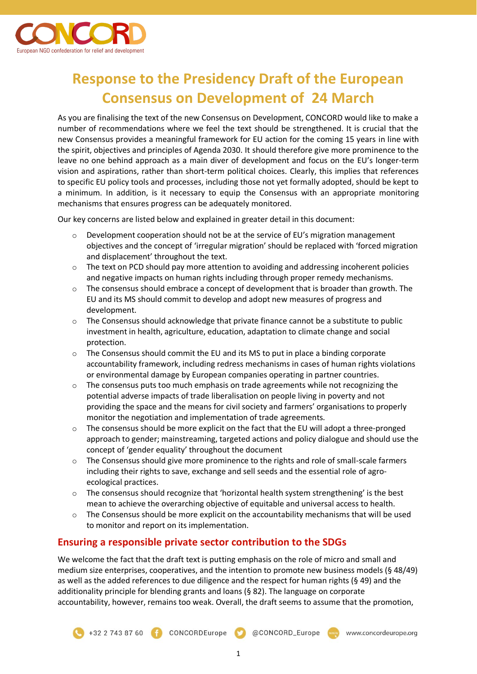

# **Response to the Presidency Draft of the European Consensus on Development of 24 March**

As you are finalising the text of the new Consensus on Development, CONCORD would like to make a number of recommendations where we feel the text should be strengthened. It is crucial that the new Consensus provides a meaningful framework for EU action for the coming 15 years in line with the spirit, objectives and principles of Agenda 2030. It should therefore give more prominence to the leave no one behind approach as a main diver of development and focus on the EU's longer-term vision and aspirations, rather than short-term political choices. Clearly, this implies that references to specific EU policy tools and processes, including those not yet formally adopted, should be kept to a minimum. In addition, is it necessary to equip the Consensus with an appropriate monitoring mechanisms that ensures progress can be adequately monitored.

Our key concerns are listed below and explained in greater detail in this document:

- $\circ$  Development cooperation should not be at the service of EU's migration management objectives and the concept of 'irregular migration' should be replaced with 'forced migration and displacement' throughout the text.
- $\circ$  The text on PCD should pay more attention to avoiding and addressing incoherent policies and negative impacts on human rights including through proper remedy mechanisms.
- o The consensus should embrace a concept of development that is broader than growth. The EU and its MS should commit to develop and adopt new measures of progress and development.
- $\circ$  The Consensus should acknowledge that private finance cannot be a substitute to public investment in health, agriculture, education, adaptation to climate change and social protection.
- $\circ$  The Consensus should commit the EU and its MS to put in place a binding corporate accountability framework, including redress mechanisms in cases of human rights violations or environmental damage by European companies operating in partner countries.
- The consensus puts too much emphasis on trade agreements while not recognizing the potential adverse impacts of trade liberalisation on people living in poverty and not providing the space and the means for civil society and farmers' organisations to properly monitor the negotiation and implementation of trade agreements.
- $\circ$  The consensus should be more explicit on the fact that the EU will adopt a three-pronged approach to gender; mainstreaming, targeted actions and policy dialogue and should use the concept of 'gender equality' throughout the document
- $\circ$  The Consensus should give more prominence to the rights and role of small-scale farmers including their rights to save, exchange and sell seeds and the essential role of agroecological practices.
- $\circ$  The consensus should recognize that 'horizontal health system strengthening' is the best mean to achieve the overarching objective of equitable and universal access to health.
- $\circ$  The Consensus should be more explicit on the accountability mechanisms that will be used to monitor and report on its implementation.

## **Ensuring a responsible private sector contribution to the SDGs**

We welcome the fact that the draft text is putting emphasis on the role of micro and small and medium size enterprises, cooperatives, and the intention to promote new business models (§ 48/49) as well as the added references to due diligence and the respect for human rights (§ 49) and the additionality principle for blending grants and loans (§ 82). The language on corporate accountability, however, remains too weak. Overall, the draft seems to assume that the promotion,

CONCORD\_Europe www.concordeurope.org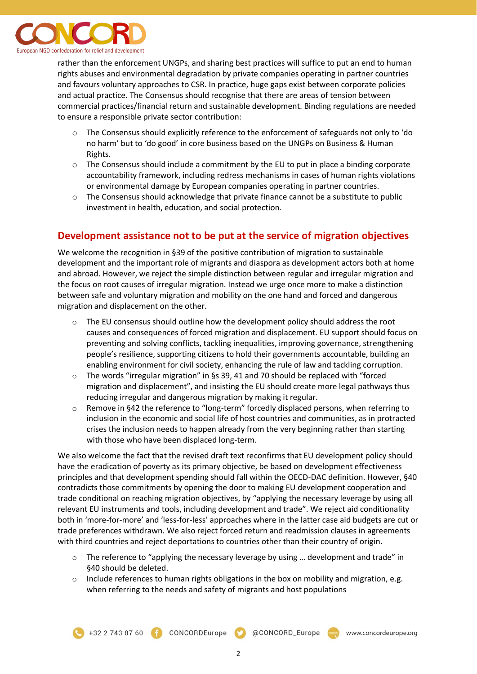

rather than the enforcement UNGPs, and sharing best practices will suffice to put an end to human rights abuses and environmental degradation by private companies operating in partner countries and favours voluntary approaches to CSR. In practice, huge gaps exist between corporate policies and actual practice. The Consensus should recognise that there are areas of tension between commercial practices/financial return and sustainable development. Binding regulations are needed to ensure a responsible private sector contribution:

- $\circ$  The Consensus should explicitly reference to the enforcement of safeguards not only to 'do no harm' but to 'do good' in core business based on the UNGPs on Business & Human Rights.
- $\circ$  The Consensus should include a commitment by the EU to put in place a binding corporate accountability framework, including redress mechanisms in cases of human rights violations or environmental damage by European companies operating in partner countries.
- $\circ$  The Consensus should acknowledge that private finance cannot be a substitute to public investment in health, education, and social protection.

## **Development assistance not to be put at the service of migration objectives**

We welcome the recognition in §39 of the positive contribution of migration to sustainable development and the important role of migrants and diaspora as development actors both at home and abroad. However, we reject the simple distinction between regular and irregular migration and the focus on root causes of irregular migration. Instead we urge once more to make a distinction between safe and voluntary migration and mobility on the one hand and forced and dangerous migration and displacement on the other.

- o The EU consensus should outline how the development policy should address the root causes and consequences of forced migration and displacement. EU support should focus on preventing and solving conflicts, tackling inequalities, improving governance, strengthening people's resilience, supporting citizens to hold their governments accountable, building an enabling environment for civil society, enhancing the rule of law and tackling corruption.
- $\circ$  The words "irregular migration" in §s 39, 41 and 70 should be replaced with "forced migration and displacement", and insisting the EU should create more legal pathways thus reducing irregular and dangerous migration by making it regular.
- $\circ$  Remove in §42 the reference to "long-term" forcedly displaced persons, when referring to inclusion in the economic and social life of host countries and communities, as in protracted crises the inclusion needs to happen already from the very beginning rather than starting with those who have been displaced long-term.

We also welcome the fact that the revised draft text reconfirms that EU development policy should have the eradication of poverty as its primary objective, be based on development effectiveness principles and that development spending should fall within the OECD-DAC definition. However, §40 contradicts those commitments by opening the door to making EU development cooperation and trade conditional on reaching migration objectives, by "applying the necessary leverage by using all relevant EU instruments and tools, including development and trade". We reject aid conditionality both in 'more-for-more' and 'less-for-less' approaches where in the latter case aid budgets are cut or trade preferences withdrawn. We also reject forced return and readmission clauses in agreements with third countries and reject deportations to countries other than their country of origin.

- $\circ$  The reference to "applying the necessary leverage by using ... development and trade" in §40 should be deleted.
- $\circ$  Include references to human rights obligations in the box on mobility and migration, e.g. when referring to the needs and safety of migrants and host populations

@CONCORD\_Europe www.concordeurope.org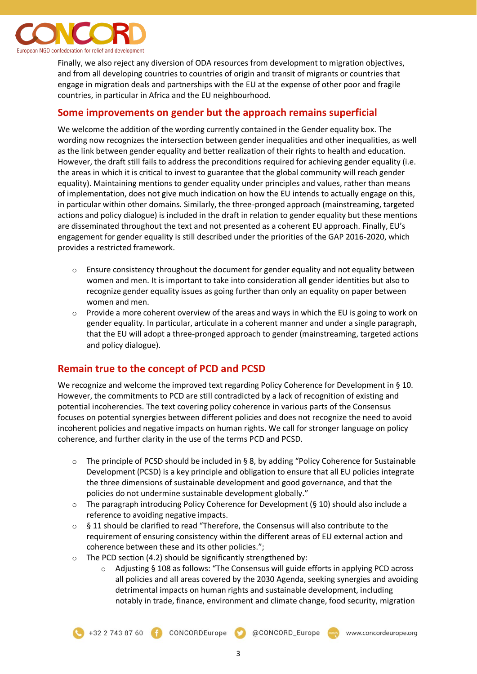

Finally, we also reject any diversion of ODA resources from development to migration objectives, and from all developing countries to countries of origin and transit of migrants or countries that engage in migration deals and partnerships with the EU at the expense of other poor and fragile countries, in particular in Africa and the EU neighbourhood.

#### **Some improvements on gender but the approach remains superficial**

We welcome the addition of the wording currently contained in the Gender equality box. The wording now recognizes the intersection between gender inequalities and other inequalities, as well as the link between gender equality and better realization of their rights to health and education. However, the draft still fails to address the preconditions required for achieving gender equality (i.e. the areas in which it is critical to invest to guarantee that the global community will reach gender equality). Maintaining mentions to gender equality under principles and values, rather than means of implementation, does not give much indication on how the EU intends to actually engage on this, in particular within other domains. Similarly, the three-pronged approach (mainstreaming, targeted actions and policy dialogue) is included in the draft in relation to gender equality but these mentions are disseminated throughout the text and not presented as a coherent EU approach. Finally, EU's engagement for gender equality is still described under the priorities of the GAP 2016-2020, which provides a restricted framework.

- $\circ$  Ensure consistency throughout the document for gender equality and not equality between women and men. It is important to take into consideration all gender identities but also to recognize gender equality issues as going further than only an equality on paper between women and men.
- $\circ$  Provide a more coherent overview of the areas and ways in which the EU is going to work on gender equality. In particular, articulate in a coherent manner and under a single paragraph, that the EU will adopt a three-pronged approach to gender (mainstreaming, targeted actions and policy dialogue).

## **Remain true to the concept of PCD and PCSD**

We recognize and welcome the improved text regarding Policy Coherence for Development in § 10. However, the commitments to PCD are still contradicted by a lack of recognition of existing and potential incoherencies. The text covering policy coherence in various parts of the Consensus focuses on potential synergies between different policies and does not recognize the need to avoid incoherent policies and negative impacts on human rights. We call for stronger language on policy coherence, and further clarity in the use of the terms PCD and PCSD.

- $\circ$  The principle of PCSD should be included in § 8, by adding "Policy Coherence for Sustainable Development (PCSD) is a key principle and obligation to ensure that all EU policies integrate the three dimensions of sustainable development and good governance, and that the policies do not undermine sustainable development globally."
- $\circ$  The paragraph introducing Policy Coherence for Development (§ 10) should also include a reference to avoiding negative impacts.
- $\circ$  § 11 should be clarified to read "Therefore, the Consensus will also contribute to the requirement of ensuring consistency within the different areas of EU external action and coherence between these and its other policies.";
- $\circ$  The PCD section (4.2) should be significantly strengthened by:
	- $\circ$  Adjusting § 108 as follows: "The Consensus will guide efforts in applying PCD across all policies and all areas covered by the 2030 Agenda, seeking synergies and avoiding detrimental impacts on human rights and sustainable development, including notably in trade, finance, environment and climate change, food security, migration

@CONCORD\_Europe



3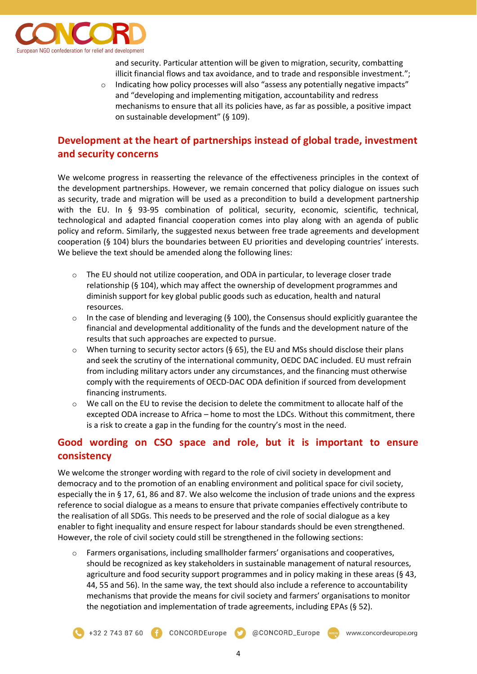

and security. Particular attention will be given to migration, security, combatting illicit financial flows and tax avoidance, and to trade and responsible investment.";

Indicating how policy processes will also "assess any potentially negative impacts" and "developing and implementing mitigation, accountability and redress mechanisms to ensure that all its policies have, as far as possible, a positive impact on sustainable development" (§ 109).

# **Development at the heart of partnerships instead of global trade, investment and security concerns**

We welcome progress in reasserting the relevance of the effectiveness principles in the context of the development partnerships. However, we remain concerned that policy dialogue on issues such as security, trade and migration will be used as a precondition to build a development partnership with the EU. In § 93-95 combination of political, security, economic, scientific, technical, technological and adapted financial cooperation comes into play along with an agenda of public policy and reform. Similarly, the suggested nexus between free trade agreements and development cooperation (§ 104) blurs the boundaries between EU priorities and developing countries' interests. We believe the text should be amended along the following lines:

- $\circ$  The EU should not utilize cooperation, and ODA in particular, to leverage closer trade relationship (§ 104), which may affect the ownership of development programmes and diminish support for key global public goods such as education, health and natural resources.
- $\circ$  In the case of blending and leveraging (§ 100), the Consensus should explicitly guarantee the financial and developmental additionality of the funds and the development nature of the results that such approaches are expected to pursue.
- $\circ$  When turning to security sector actors (§ 65), the EU and MSs should disclose their plans and seek the scrutiny of the international community, OEDC DAC included. EU must refrain from including military actors under any circumstances, and the financing must otherwise comply with the requirements of OECD-DAC ODA definition if sourced from development financing instruments.
- We call on the EU to revise the decision to delete the commitment to allocate half of the excepted ODA increase to Africa – home to most the LDCs. Without this commitment, there is a risk to create a gap in the funding for the country's most in the need.

# **Good wording on CSO space and role, but it is important to ensure consistency**

We welcome the stronger wording with regard to the role of civil society in development and democracy and to the promotion of an enabling environment and political space for civil society, especially the in § 17, 61, 86 and 87. We also welcome the inclusion of trade unions and the express reference to social dialogue as a means to ensure that private companies effectively contribute to the realisation of all SDGs. This needs to be preserved and the role of social dialogue as a key enabler to fight inequality and ensure respect for labour standards should be even strengthened. However, the role of civil society could still be strengthened in the following sections:

 $\circ$  Farmers organisations, including smallholder farmers' organisations and cooperatives, should be recognized as key stakeholders in sustainable management of natural resources, agriculture and food security support programmes and in policy making in these areas (§ 43, 44, 55 and 56). In the same way, the text should also include a reference to accountability mechanisms that provide the means for civil society and farmers' organisations to monitor the negotiation and implementation of trade agreements, including EPAs (§ 52).

+32 2 743 87 60 **CONCORDEurope** 

CONCORD\_Europe www.concordeurope.org

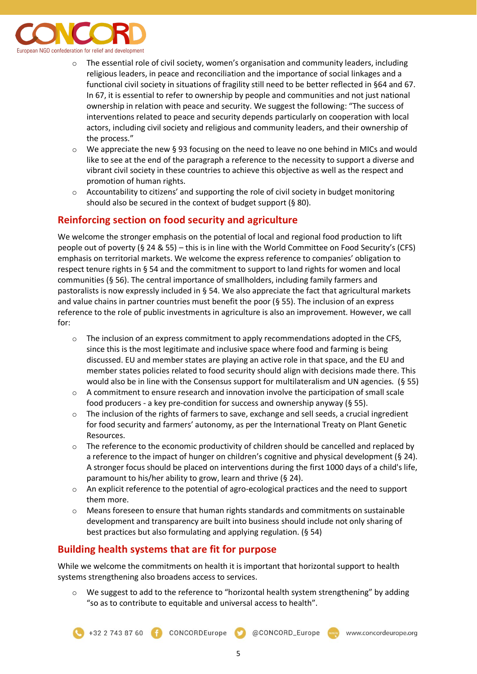

- $\circ$  The essential role of civil society, women's organisation and community leaders, including religious leaders, in peace and reconciliation and the importance of social linkages and a functional civil society in situations of fragility still need to be better reflected in §64 and 67. In 67, it is essential to refer to ownership by people and communities and not just national ownership in relation with peace and security. We suggest the following: "The success of interventions related to peace and security depends particularly on cooperation with local actors, including civil society and religious and community leaders, and their ownership of the process."
- $\circ$  We appreciate the new § 93 focusing on the need to leave no one behind in MICs and would like to see at the end of the paragraph a reference to the necessity to support a diverse and vibrant civil society in these countries to achieve this objective as well as the respect and promotion of human rights.
- $\circ$  Accountability to citizens' and supporting the role of civil society in budget monitoring should also be secured in the context of budget support (§ 80).

## **Reinforcing section on food security and agriculture**

We welcome the stronger emphasis on the potential of local and regional food production to lift people out of poverty (§ 24 & 55) – this is in line with the World Committee on Food Security's (CFS) emphasis on territorial markets. We welcome the express reference to companies' obligation to respect tenure rights in § 54 and the commitment to support to land rights for women and local communities (§ 56). The central importance of smallholders, including family farmers and pastoralists is now expressly included in § 54. We also appreciate the fact that agricultural markets and value chains in partner countries must benefit the poor  $(§ 55)$ . The inclusion of an express reference to the role of public investments in agriculture is also an improvement. However, we call for:

- $\circ$  The inclusion of an express commitment to apply recommendations adopted in the CFS, since this is the most legitimate and inclusive space where food and farming is being discussed. EU and member states are playing an active role in that space, and the EU and member states policies related to food security should align with decisions made there. This would also be in line with the Consensus support for multilateralism and UN agencies. (§ 55)
- $\circ$  A commitment to ensure research and innovation involve the participation of small scale food producers - a key pre-condition for success and ownership anyway (§ 55).
- $\circ$  The inclusion of the rights of farmers to save, exchange and sell seeds, a crucial ingredient for food security and farmers' autonomy, as per the International Treaty on Plant Genetic Resources.
- $\circ$  The reference to the economic productivity of children should be cancelled and replaced by a reference to the impact of hunger on children's cognitive and physical development (§ 24). A stronger focus should be placed on interventions during the first 1000 days of a child's life, paramount to his/her ability to grow, learn and thrive (§ 24).
- $\circ$  An explicit reference to the potential of agro-ecological practices and the need to support them more.
- o Means foreseen to ensure that human rights standards and commitments on sustainable development and transparency are built into business should include not only sharing of best practices but also formulating and applying regulation. (§ 54)

## **Building health systems that are fit for purpose**

While we welcome the commitments on health it is important that horizontal support to health systems strengthening also broadens access to services.

We suggest to add to the reference to "horizontal health system strengthening" by adding "so as to contribute to equitable and universal access to health".

+32 2 743 87 60 **F** CONCORDEurope

@CONCORD\_Europe

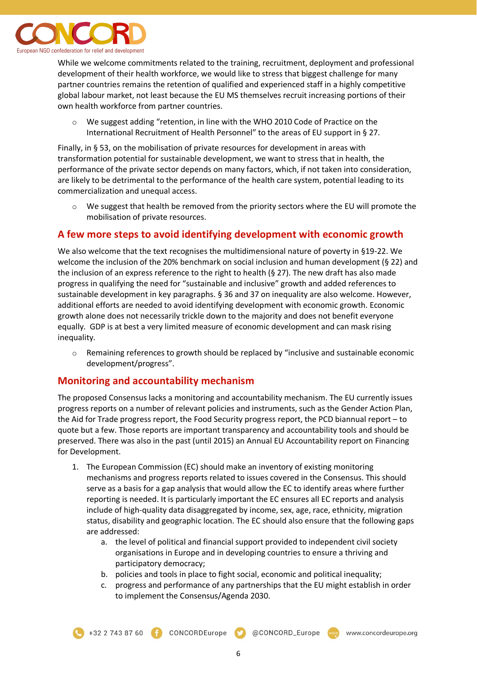

While we welcome commitments related to the training, recruitment, deployment and professional development of their health workforce, we would like to stress that biggest challenge for many partner countries remains the retention of qualified and experienced staff in a highly competitive global labour market, not least because the EU MS themselves recruit increasing portions of their own health workforce from partner countries.

o We suggest adding "retention, in line with the WHO 2010 Code of Practice on the International Recruitment of Health Personnel" to the areas of EU support in § 27.

Finally, in § 53, on the mobilisation of private resources for development in areas with transformation potential for sustainable development, we want to stress that in health, the performance of the private sector depends on many factors, which, if not taken into consideration, are likely to be detrimental to the performance of the health care system, potential leading to its commercialization and unequal access.

 $\circ$  We suggest that health be removed from the priority sectors where the EU will promote the mobilisation of private resources.

## **A few more steps to avoid identifying development with economic growth**

We also welcome that the text recognises the multidimensional nature of poverty in §19-22. We welcome the inclusion of the 20% benchmark on social inclusion and human development (§ 22) and the inclusion of an express reference to the right to health (§ 27). The new draft has also made progress in qualifying the need for "sustainable and inclusive" growth and added references to sustainable development in key paragraphs. § 36 and 37 on inequality are also welcome. However, additional efforts are needed to avoid identifying development with economic growth. Economic growth alone does not necessarily trickle down to the majority and does not benefit everyone equally. GDP is at best a very limited measure of economic development and can mask rising inequality.

o Remaining references to growth should be replaced by "inclusive and sustainable economic development/progress".

#### **Monitoring and accountability mechanism**

The proposed Consensus lacks a monitoring and accountability mechanism. The EU currently issues progress reports on a number of relevant policies and instruments, such as the Gender Action Plan, the Aid for Trade progress report, the Food Security progress report, the PCD biannual report – to quote but a few. Those reports are important transparency and accountability tools and should be preserved. There was also in the past (until 2015) an Annual EU Accountability report on Financing for Development.

- 1. The European Commission (EC) should make an inventory of existing monitoring mechanisms and progress reports related to issues covered in the Consensus. This should serve as a basis for a gap analysis that would allow the EC to identify areas where further reporting is needed. It is particularly important the EC ensures all EC reports and analysis include of high-quality data disaggregated by income, sex, age, race, ethnicity, migration status, disability and geographic location. The EC should also ensure that the following gaps are addressed:
	- a. the level of political and financial support provided to independent civil society organisations in Europe and in developing countries to ensure a thriving and participatory democracy;
	- b. policies and tools in place to fight social, economic and political inequality;
	- c. progress and performance of any partnerships that the EU might establish in order to implement the Consensus/Agenda 2030.

+32 2 743 87 60 CONCORDEurope C @CONCORD\_Europe www.concordeurope.org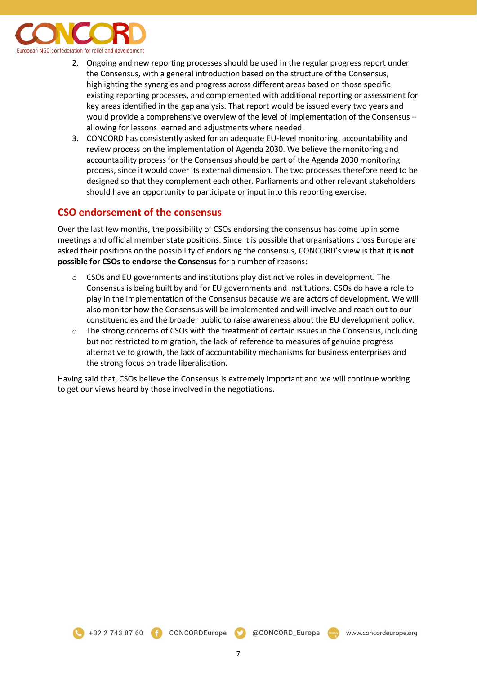

- 2. Ongoing and new reporting processes should be used in the regular progress report under the Consensus, with a general introduction based on the structure of the Consensus, highlighting the synergies and progress across different areas based on those specific existing reporting processes, and complemented with additional reporting or assessment for key areas identified in the gap analysis. That report would be issued every two years and would provide a comprehensive overview of the level of implementation of the Consensus – allowing for lessons learned and adjustments where needed.
- 3. CONCORD has consistently asked for an adequate EU-level monitoring, accountability and review process on the implementation of Agenda 2030. We believe the monitoring and accountability process for the Consensus should be part of the Agenda 2030 monitoring process, since it would cover its external dimension. The two processes therefore need to be designed so that they complement each other. Parliaments and other relevant stakeholders should have an opportunity to participate or input into this reporting exercise.

#### **CSO endorsement of the consensus**

Over the last few months, the possibility of CSOs endorsing the consensus has come up in some meetings and official member state positions. Since it is possible that organisations cross Europe are asked their positions on the possibility of endorsing the consensus, CONCORD's view is that **it is not possible for CSOs to endorse the Consensus** for a number of reasons:

- $\circ$  CSOs and EU governments and institutions play distinctive roles in development. The Consensus is being built by and for EU governments and institutions. CSOs do have a role to play in the implementation of the Consensus because we are actors of development. We will also monitor how the Consensus will be implemented and will involve and reach out to our constituencies and the broader public to raise awareness about the EU development policy.
- $\circ$  The strong concerns of CSOs with the treatment of certain issues in the Consensus, including but not restricted to migration, the lack of reference to measures of genuine progress alternative to growth, the lack of accountability mechanisms for business enterprises and the strong focus on trade liberalisation.

Having said that, CSOs believe the Consensus is extremely important and we will continue working to get our views heard by those involved in the negotiations.



CONCORDEurope